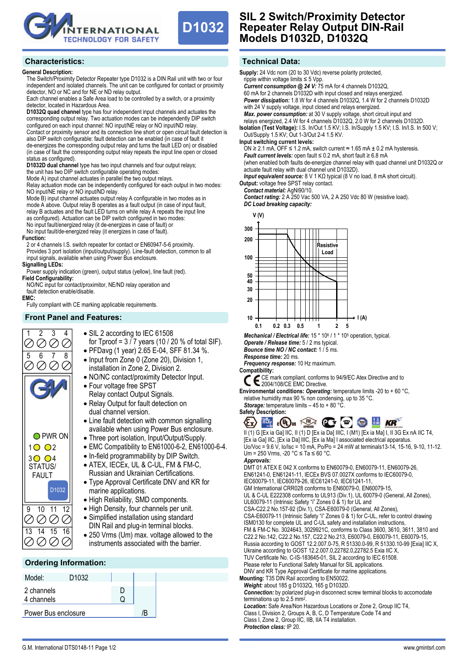



## **General Description:**

The Switch/Proximity Detector Repeater type D1032 is a DIN Rail unit with two or four independent and isolated channels. The unit can be configured for contact or proximity detector, NO or NC and for NE or ND relay output.

Each channel enables a Safe Area load to be controlled by a switch, or a proximity detector, located in Hazardous Area.

**D1032Q quad channel** type has four independent input channels and actuates the corresponding output relay. Two actuation modes can be independently DIP switch configured on each input channel: NO input/NE relay or NO input/ND relay. Contact or proximity sensor and its connection line short or open circuit fault detection is also DIP switch configurable: fault detection can be enabled (in case of fault it de-energizes the corresponding output relay and turns the fault LED on) or disabled (in case of fault the corresponding output relay repeats the input line open or closed status as configured).

**D1032D dual channel** type has two input channels and four output relays; the unit has two DIP switch configurable operating modes:

Mode A) input channel actuates in parallel the two output relays.

Relay actuation mode can be independently configured for each output in two modes: NO input/NE relay or NO input/ND relay.

Mode B) input channel actuates output relay A configurable in two modes as in mode A above. Output relay B operates as a fault output (in case of input fault, relay B actuates and the fault LED turns on while relay A repeats the input line as configured). Actuation can be DIP switch configured in two modes: No input fault/energized relay (it de-energizes in case of fault) or

No input fault/de-energized relay (it energizes in case of fault).

## **Function:**

2 or 4 channels I.S. switch repeater for contact or EN60947-5-6 proximity. Provides 3 port isolation (input/output/supply). Line-fault detection, common to all input signals, available when using Power Bus enclosure.

## **Signalling LEDs:**

Power supply indication (green), output status (yellow), line fault (red). **Field Configurability:**

NO/NC input for contact/proximitor, NE/ND relay operation and fault detection enable/disable.

**EMC:** 

Fully compliant with CE marking applicable requirements.

## **Front Panel and Features:**

- 1 2 3 4  $\oslash$ Q.  $\varnothing$ 5 6 7 8 O PWR ON  $1002$  $3004$ STATUS/ FAULT D1032 9 10 11 12 000 Ø 13 14 15 16 00 Q.
- SIL 2 according to IEC 61508
	- for Tproof =  $3/7$  years (10 / 20 % of total SIF).
	- PFDavg (1 year) 2.65 E-04, SFF 81.34 %.
	- Input from Zone 0 (Zone 20), Division 1, installation in Zone 2, Division 2.
	- NO/NC contact/proximity Detector Input. • Four voltage free SPST
		- Relay contact Output Signals.
	- Relay Output for fault detection on dual channel version.
	- Line fault detection with common signalling available when using Power Bus enclosure.
	- Three port isolation, Input/Output/Supply.
	- EMC Compatibility to EN61000-6-2, EN61000-6-4.
	- In-field programmability by DIP Switch.
	- ATEX, IECEx, UL & C-UL, FM & FM-C,
	- Russian and Ukrainian Certifications. • Type Approval Certificate DNV and KR for
	- marine applications.
	- High Reliability, SMD components.
	- High Density, four channels per unit. • Simplified installation using standard
	- DIN Rail and plug-in terminal blocks.
	- 250 Vrms (Um) max. voltage allowed to the instruments associated with the barrier.

# **Ordering Information:**

| Model:                   | D <sub>1032</sub> |  |    |  |
|--------------------------|-------------------|--|----|--|
| 2 channels<br>4 channels |                   |  |    |  |
| Power Bus enclosure      |                   |  | /R |  |

# **D1032 SIL 2 Switch/Proximity Detector Repeater Relay Output DIN-Rail Models D1032D, D1032Q**

**Supply:** 24 Vdc nom (20 to 30 Vdc) reverse polarity protected,

with 24 V supply voltage, input closed and relays energized.

*Current consumption @ 24 V:* 75 mA for 4 channels D1032Q, 60 mA for 2 channels D1032D with input closed and relays energized. *Power dissipation:* 1.8 W for 4 channels D1032Q, 1.4 W for 2 channels D1032D

ripple within voltage limits  $\leq$  5 Vpp.

*Max. power consumption:* at 30 V supply voltage, short circuit input and relays energized, 2.4 W for 4 channels D1032Q, 2.0 W for 2 channels D1032D. **Isolation (Test Voltage):** I.S. In/Out 1.5 KV; I.S. In/Supply 1.5 KV; I.S. In/I.S. In 500 V; Out/Supply 1.5 KV; Out 1-3/Out 2-4 1.5 KV. **Input switching current levels:** ON ≥ 2.1 mA, OFF ≤ 1.2 mA, switch current  $\approx$  1.65 mA  $\pm$  0.2 mA hysteresis. *Fault current levels:* open fault ≤ 0.2 mA, short fault ≥ 6.8 mA (when enabled both faults de-energize channel relay with quad channel unit D1032Q or actuate fault relay with dual channel unit D1032D). *Input equivalent source:* 8 V 1 KΩ typical (8 V no load, 8 mA short circuit). **Output:** voltage free SPST relay contact. *Contact material:* AgNi90/10. *Contact rating:* 2 A 250 Vac 500 VA, 2 A 250 Vdc 80 W (resistive load). *DC Load breaking capacity:*  **V (V) 300 200 Resistive Load 100 50 40 30 20** 10 <del>1 | | | | | | | | | | | | | | | | | |</del> + | (A) **0.1 0.2 0.3 0.5 1 2 5** *Mechanical / Electrical life:* 15 \* 106 / 1 \* 105 operation, typical. *Operate / Release time:* 5 / 2 ms typical. *Bounce time NO / NC contact:* 1 / 5 ms. *Response time:* 20 ms. *Frequency response:* 10 Hz maximum. **Compatibility:** CE mark compliant, conforms to 94/9/EC Atex Directive and to 2004/108/CE EMC Directive. **Environmental conditions:** *Operating:* temperature limits -20 to + 60 °C, relative humidity max 90 % non condensing, up to 35 °C. *Storage:* temperature limits – 45 to + 80 °C. **Safety Description:**  EX FOR CURBING TO THE REAL KEY II (1) G [Ex ia Ga] IIC, II (1) D [Ex ia Da] IIIC, I (M1) [Ex ia Ma] I, II 3G Ex nA IIC T4, [Ex ia Ga] IIC, [Ex ia Da] IIIC, [Ex ia Ma] I associated electrical apparatus. Uo/Voc = 9.6 V, Io/Isc = 10 mA, Po/Po = 24 mW at terminals13-14, 15-16, 9-10, 11-12. Um = 250 Vrms, -20 °C ≤ Ta ≤ 60 °C. *Approvals:*  DMT 01 ATEX E 042 X conforms to EN60079-0, EN60079-11, EN60079-26, EN61241-0, EN61241-11, IECEx BVS 07.0027X conforms to IEC60079-0, IEC60079-11, IEC60079-26, IEC61241-0, IEC61241-11, GM International CRR028 conforms to EN60079-0, EN60079-15, UL & C-UL E222308 conforms to UL913 (Div.1), UL 60079-0 (General, All Zones), UL60079-11 (Intrinsic Safety "i" Zones 0 & 1) for UL and CSA-C22.2 No.157-92 (Div.1), CSA-E60079-0 (General, All Zones), CSA-E60079-11 (Intrinsic Safety "i" Zones 0 & 1) for C-UL, refer to control drawing ISM0130 for complete UL and C-UL safety and installation instructions, FM & FM-C No. 3024643, 3029921C, conforms to Class 3600, 3610, 3611, 3810 and C22.2 No.142, C22.2 No.157, C22.2 No.213, E60079-0, E60079-11, E60079-15, Russia according to GOST 12.2.007.0-75, R 51330.0-99, R 51330.10-99 [Exia] IIC X, Ukraine according to GOST 12.2.007.0,22782.0,22782.5 Exia IIC X, TUV Certificate No. C-IS-183645-01, SIL 2 according to IEC 61508. Please refer to Functional Safety Manual for SIL applications. DNV and KR Type Approval Certificate for marine applications. **Mounting:** T35 DIN Rail according to EN50022. *Weight:* about 185 g D1032Q, 165 g D1032D. *Connection:* by polarized plug-in disconnect screw terminal blocks to accomodate terminations up to 2.5 mm2. *Location:* Safe Area/Non Hazardous Locations or Zone 2, Group IIC T4, Class I, Division 2, Groups A, B, C, D Temperature Code T4 and Class I, Zone 2, Group IIC, IIB, IIA T4 installation. *Protection class:* IP 20. www.gmintsrl.com